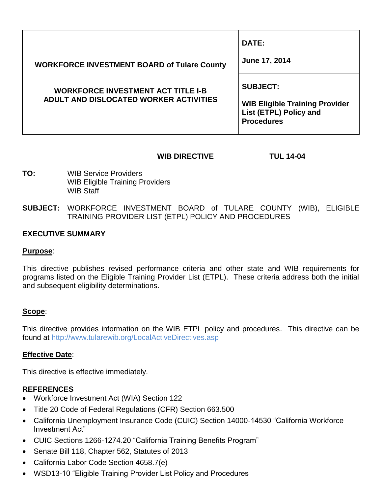|                                                                                     | DATE:                                                                                |
|-------------------------------------------------------------------------------------|--------------------------------------------------------------------------------------|
| <b>WORKFORCE INVESTMENT BOARD of Tulare County</b>                                  | June 17, 2014                                                                        |
| <b>WORKFORCE INVESTMENT ACT TITLE I-B</b><br>ADULT AND DISLOCATED WORKER ACTIVITIES | <b>SUBJECT:</b>                                                                      |
|                                                                                     | <b>WIB Eligible Training Provider</b><br>List (ETPL) Policy and<br><b>Procedures</b> |

## **WIB DIRECTIVE TUL 14-04**

- **TO:** WIB Service Providers WIB Eligible Training Providers WIB Staff
- **SUBJECT:** WORKFORCE INVESTMENT BOARD of TULARE COUNTY (WIB), ELIGIBLE TRAINING PROVIDER LIST (ETPL) POLICY AND PROCEDURES

### **EXECUTIVE SUMMARY**

#### **Purpose**:

This directive publishes revised performance criteria and other state and WIB requirements for programs listed on the Eligible Training Provider List (ETPL). These criteria address both the initial and subsequent eligibility determinations.

#### **Scope**:

This directive provides information on the WIB ETPL policy and procedures. This directive can be found at<http://www.tularewib.org/LocalActiveDirectives.asp>

### **Effective Date**:

This directive is effective immediately.

### **REFERENCES**

- Workforce Investment Act (WIA) Section 122
- Title 20 Code of Federal Regulations (CFR) Section 663.500
- California Unemployment Insurance Code (CUIC) Section 14000-14530 "California Workforce Investment Act"
- CUIC Sections 1266-1274.20 "California Training Benefits Program"
- Senate Bill 118, Chapter 562, Statutes of 2013
- California Labor Code Section 4658.7(e)
- WSD13-10 "Eligible Training Provider List Policy and Procedures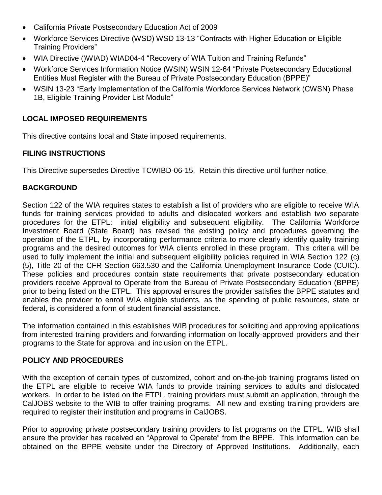- California Private Postsecondary Education Act of 2009
- Workforce Services Directive (WSD) WSD 13-13 "Contracts with Higher Education or Eligible Training Providers"
- WIA Directive ()WIAD) WIAD04-4 "Recovery of WIA Tuition and Training Refunds"
- Workforce Services Information Notice (WSIN) WSIN 12-64 "Private Postsecondary Educational Entities Must Register with the Bureau of Private Postsecondary Education (BPPE)"
- WSIN 13-23 "Early Implementation of the California Workforce Services Network (CWSN) Phase 1B, Eligible Training Provider List Module"

# **LOCAL IMPOSED REQUIREMENTS**

This directive contains local and State imposed requirements.

## **FILING INSTRUCTIONS**

This Directive supersedes Directive TCWIBD-06-15. Retain this directive until further notice.

## **BACKGROUND**

Section 122 of the WIA requires states to establish a list of providers who are eligible to receive WIA funds for training services provided to adults and dislocated workers and establish two separate procedures for the ETPL: initial eligibility and subsequent eligibility. The California Workforce Investment Board (State Board) has revised the existing policy and procedures governing the operation of the ETPL, by incorporating performance criteria to more clearly identify quality training programs and the desired outcomes for WIA clients enrolled in these program. This criteria will be used to fully implement the initial and subsequent eligibility policies required in WIA Section 122 (c) (5), Title 20 of the CFR Section 663.530 and the California Unemployment Insurance Code (CUIC). These policies and procedures contain state requirements that private postsecondary education providers receive Approval to Operate from the Bureau of Private Postsecondary Education (BPPE) prior to being listed on the ETPL. This approval ensures the provider satisfies the BPPE statutes and enables the provider to enroll WIA eligible students, as the spending of public resources, state or federal, is considered a form of student financial assistance.

The information contained in this establishes WIB procedures for soliciting and approving applications from interested training providers and forwarding information on locally-approved providers and their programs to the State for approval and inclusion on the ETPL.

## **POLICY AND PROCEDURES**

With the exception of certain types of customized, cohort and on-the-job training programs listed on the ETPL are eligible to receive WIA funds to provide training services to adults and dislocated workers. In order to be listed on the ETPL, training providers must submit an application, through the CalJOBS website to the WIB to offer training programs. All new and existing training providers are required to register their institution and programs in CalJOBS.

Prior to approving private postsecondary training providers to list programs on the ETPL, WIB shall ensure the provider has received an "Approval to Operate" from the BPPE. This information can be obtained on the BPPE website under the Directory of Approved Institutions. Additionally, each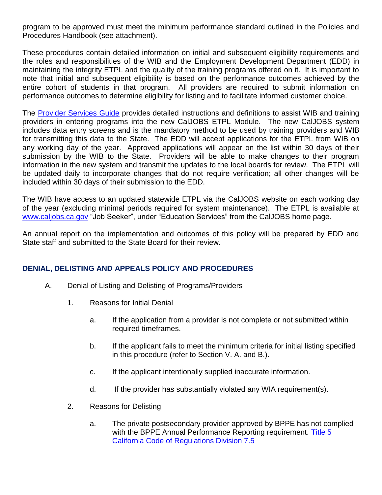program to be approved must meet the minimum performance standard outlined in the Policies and Procedures Handbook (see attachment).

These procedures contain detailed information on initial and subsequent eligibility requirements and the roles and responsibilities of the WIB and the Employment Development Department (EDD) in maintaining the integrity ETPL and the quality of the training programs offered on it. It is important to note that initial and subsequent eligibility is based on the performance outcomes achieved by the entire cohort of students in that program. All providers are required to submit information on performance outcomes to determine eligibility for listing and to facilitate informed customer choice.

The [Provider Services Guide](http://www.edd.ca.gov/Jobs_and_Training/Pubs/Wsin13-23att.pdf) provides detailed instructions and definitions to assist WIB and training providers in entering programs into the new CalJOBS ETPL Module. The new CalJOBS system includes data entry screens and is the mandatory method to be used by training providers and WIB for transmitting this data to the State. The EDD will accept applications for the ETPL from WIB on any working day of the year. Approved applications will appear on the list within 30 days of their submission by the WIB to the State. Providers will be able to make changes to their program information in the new system and transmit the updates to the local boards for review. The ETPL will be updated daily to incorporate changes that do not require verification; all other changes will be included within 30 days of their submission to the EDD.

The WIB have access to an updated statewide ETPL via the CalJOBS website on each working day of the year (excluding minimal periods required for system maintenance). The ETPL is available at [www.caljobs.ca.gov](http://www.caljobs.ca.gov/) "Job Seeker", under "Education Services" from the CalJOBS home page.

An annual report on the implementation and outcomes of this policy will be prepared by EDD and State staff and submitted to the State Board for their review.

## **DENIAL, DELISTING AND APPEALS POLICY AND PROCEDURES**

- A. Denial of Listing and Delisting of Programs/Providers
	- 1. Reasons for Initial Denial
		- a. If the application from a provider is not complete or not submitted within required timeframes.
		- b. If the applicant fails to meet the minimum criteria for initial listing specified in this procedure (refer to Section V. A. and B.).
		- c. If the applicant intentionally supplied inaccurate information.
		- d. If the provider has substantially violated any WIA requirement(s).
	- 2. Reasons for Delisting
		- a. The private postsecondary provider approved by BPPE has not complied with the BPPE Annual Performance Reporting requirement. Title 5 California Code of Regulations Division 7.5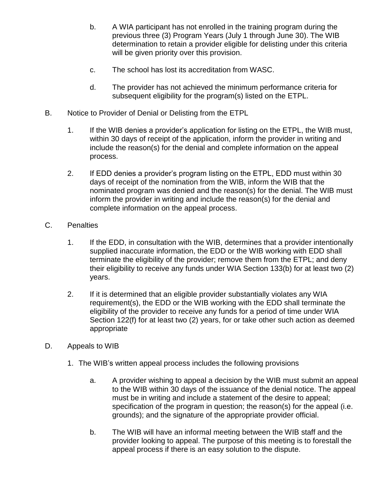- b. A WIA participant has not enrolled in the training program during the previous three (3) Program Years (July 1 through June 30). The WIB determination to retain a provider eligible for delisting under this criteria will be given priority over this provision.
- c. The school has lost its accreditation from WASC.
- d. The provider has not achieved the minimum performance criteria for subsequent eligibility for the program(s) listed on the ETPL.
- B. Notice to Provider of Denial or Delisting from the ETPL
	- 1. If the WIB denies a provider's application for listing on the ETPL, the WIB must, within 30 days of receipt of the application, inform the provider in writing and include the reason(s) for the denial and complete information on the appeal process.
	- 2. If EDD denies a provider's program listing on the ETPL, EDD must within 30 days of receipt of the nomination from the WIB, inform the WIB that the nominated program was denied and the reason(s) for the denial. The WIB must inform the provider in writing and include the reason(s) for the denial and complete information on the appeal process.
- C. Penalties
	- 1. If the EDD, in consultation with the WIB, determines that a provider intentionally supplied inaccurate information, the EDD or the WIB working with EDD shall terminate the eligibility of the provider; remove them from the ETPL; and deny their eligibility to receive any funds under WIA Section 133(b) for at least two (2) years.
	- 2. If it is determined that an eligible provider substantially violates any WIA requirement(s), the EDD or the WIB working with the EDD shall terminate the eligibility of the provider to receive any funds for a period of time under WIA Section 122(f) for at least two (2) years, for or take other such action as deemed appropriate
- D. Appeals to WIB
	- 1. The WIB's written appeal process includes the following provisions
		- a. A provider wishing to appeal a decision by the WIB must submit an appeal to the WIB within 30 days of the issuance of the denial notice. The appeal must be in writing and include a statement of the desire to appeal; specification of the program in question; the reason(s) for the appeal (i.e. grounds); and the signature of the appropriate provider official.
		- b. The WIB will have an informal meeting between the WIB staff and the provider looking to appeal. The purpose of this meeting is to forestall the appeal process if there is an easy solution to the dispute.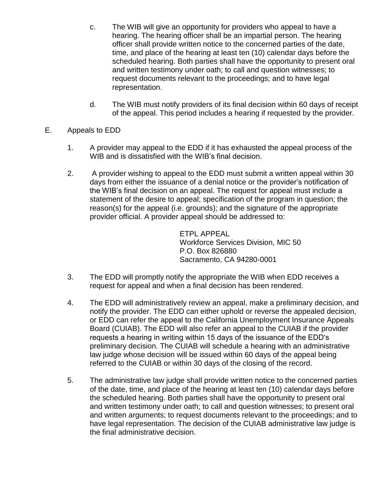- c. The WIB will give an opportunity for providers who appeal to have a hearing. The hearing officer shall be an impartial person. The hearing officer shall provide written notice to the concerned parties of the date, time, and place of the hearing at least ten (10) calendar days before the scheduled hearing. Both parties shall have the opportunity to present oral and written testimony under oath; to call and question witnesses; to request documents relevant to the proceedings; and to have legal representation.
- d. The WIB must notify providers of its final decision within 60 days of receipt of the appeal. This period includes a hearing if requested by the provider.
- E. Appeals to EDD
	- 1. A provider may appeal to the EDD if it has exhausted the appeal process of the WIB and is dissatisfied with the WIB's final decision.
	- 2. A provider wishing to appeal to the EDD must submit a written appeal within 30 days from either the issuance of a denial notice or the provider's notification of the WIB's final decision on an appeal. The request for appeal must include a statement of the desire to appeal; specification of the program in question; the reason(s) for the appeal (i.e. grounds); and the signature of the appropriate provider official. A provider appeal should be addressed to:

ETPL APPEAL Workforce Services Division, MIC 50 P.O. Box 826880 Sacramento, CA 94280-0001

- 3. The EDD will promptly notify the appropriate the WIB when EDD receives a request for appeal and when a final decision has been rendered.
- 4. The EDD will administratively review an appeal, make a preliminary decision, and notify the provider. The EDD can either uphold or reverse the appealed decision, or EDD can refer the appeal to the California Unemployment Insurance Appeals Board (CUIAB). The EDD will also refer an appeal to the CUIAB if the provider requests a hearing in writing within 15 days of the issuance of the EDD's preliminary decision. The CUIAB will schedule a hearing with an administrative law judge whose decision will be issued within 60 days of the appeal being referred to the CUIAB or within 30 days of the closing of the record.
- 5. The administrative law judge shall provide written notice to the concerned parties of the date, time, and place of the hearing at least ten (10) calendar days before the scheduled hearing. Both parties shall have the opportunity to present oral and written testimony under oath; to call and question witnesses; to present oral and written arguments; to request documents relevant to the proceedings; and to have legal representation. The decision of the CUIAB administrative law judge is the final administrative decision.